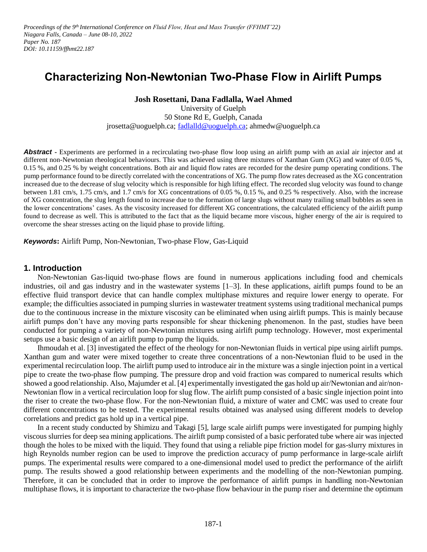*Proceedings of the 9<sup>th</sup> International Conference on Fluid Flow, Heat and Mass Transfer (FFHMT'22) Niagara Falls, Canada – June 08-10, 2022 Paper No. 187 DOI: 10.11159/ffhmt22.187*

# **Characterizing Non-Newtonian Two-Phase Flow in Airlift Pumps**

**Josh Rosettani, Dana Fadlalla, Wael Ahmed**

University of Guelph 50 Stone Rd E, Guelph, Canada jrosetta@uoguelph.ca; [fadlalld@uoguelph.ca;](mailto:fadlalld@uoguelph.ca) ahmedw@uoguelph.ca

**Abstract -** Experiments are performed in a recirculating two-phase flow loop using an airlift pump with an axial air injector and at different non-Newtonian rheological behaviours. This was achieved using three mixtures of Xanthan Gum (XG) and water of 0.05 %, 0.15 %, and 0.25 % by weight concentrations. Both air and liquid flow rates are recorded for the desire pump operating conditions. The pump performance found to be directly correlated with the concentrations of XG. The pump flow rates decreased as the XG concentration increased due to the decrease of slug velocity which is responsible for high lifting effect. The recorded slug velocity was found to change between 1.81 cm/s, 1.75 cm/s, and 1.7 cm/s for XG concentrations of 0.05 %, 0.15 %, and 0.25 % respectively. Also, with the increase of XG concentration, the slug length found to increase due to the formation of large slugs without many trailing small bubbles as seen in the lower concentrations' cases. As the viscosity increased for different XG concentrations, the calculated efficiency of the airlift pump found to decrease as well. This is attributed to the fact that as the liquid became more viscous, higher energy of the air is required to overcome the shear stresses acting on the liquid phase to provide lifting.

*Keywords***:** Airlift Pump, Non-Newtonian, Two-phase Flow, Gas-Liquid

#### **1. Introduction**

Non-Newtonian Gas-liquid two-phase flows are found in numerous applications including food and chemicals industries, oil and gas industry and in the wastewater systems [1–3]. In these applications, airlift pumps found to be an effective fluid transport device that can handle complex multiphase mixtures and require lower energy to operate. For example; the difficulties associated in pumping slurries in wastewater treatment systems using traditional mechanical pumps due to the continuous increase in the mixture viscosity can be eliminated when using airlift pumps. This is mainly because airlift pumps don't have any moving parts responsible for shear thickening phenomenon. In the past, studies have been conducted for pumping a variety of non-Newtonian mixtures using airlift pump technology. However, most experimental setups use a basic design of an airlift pump to pump the liquids.

Ihmoudah et al. [3] investigated the effect of the rheology for non-Newtonian fluids in vertical pipe using airlift pumps. Xanthan gum and water were mixed together to create three concentrations of a non-Newtonian fluid to be used in the experimental recirculation loop. The airlift pump used to introduce air in the mixture was a single injection point in a vertical pipe to create the two-phase flow pumping. The pressure drop and void fraction was compared to numerical results which showed a good relationship. Also, Majumder et al. [4] experimentally investigated the gas hold up air/Newtonian and air/non-Newtonian flow in a vertical recirculation loop for slug flow. The airlift pump consisted of a basic single injection point into the riser to create the two-phase flow. For the non-Newtonian fluid, a mixture of water and CMC was used to create four different concentrations to be tested. The experimental results obtained was analysed using different models to develop correlations and predict gas hold up in a vertical pipe.

In a recent study conducted by Shimizu and Takagi [5], large scale airlift pumps were investigated for pumping highly viscous slurries for deep sea mining applications. The airlift pump consisted of a basic perforated tube where air was injected though the holes to be mixed with the liquid. They found that using a reliable pipe friction model for gas-slurry mixtures in high Reynolds number region can be used to improve the prediction accuracy of pump performance in large-scale airlift pumps. The experimental results were compared to a one-dimensional model used to predict the performance of the airlift pump. The results showed a good relationship between experiments and the modelling of the non-Newtonian pumping. Therefore, it can be concluded that in order to improve the performance of airlift pumps in handling non-Newtonian multiphase flows, it is important to characterize the two-phase flow behaviour in the pump riser and determine the optimum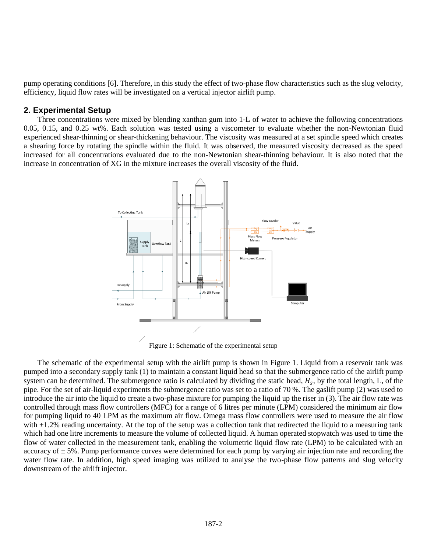pump operating conditions [6]. Therefore, in this study the effect of two-phase flow characteristics such as the slug velocity, efficiency, liquid flow rates will be investigated on a vertical injector airlift pump.

## **2. Experimental Setup**

Three concentrations were mixed by blending xanthan gum into 1-L of water to achieve the following concentrations 0.05, 0.15, and 0.25 wt%. Each solution was tested using a viscometer to evaluate whether the non-Newtonian fluid experienced shear-thinning or shear-thickening behaviour. The viscosity was measured at a set spindle speed which creates a shearing force by rotating the spindle within the fluid. It was observed, the measured viscosity decreased as the speed increased for all concentrations evaluated due to the non-Newtonian shear-thinning behaviour. It is also noted that the increase in concentration of XG in the mixture increases the overall viscosity of the fluid.



Figure 1: Schematic of the experimental setup

The schematic of the experimental setup with the airlift pump is shown in Figure 1. Liquid from a reservoir tank was pumped into a secondary supply tank (1) to maintain a constant liquid head so that the submergence ratio of the airlift pump system can be determined. The submergence ratio is calculated by dividing the static head,  $H_s$ , by the total length, L, of the pipe. For the set of air-liquid experiments the submergence ratio was set to a ratio of 70 %. The gaslift pump (2) was used to introduce the air into the liquid to create a two-phase mixture for pumping the liquid up the riser in (3). The air flow rate was controlled through mass flow controllers (MFC) for a range of 6 litres per minute (LPM) considered the minimum air flow for pumping liquid to 40 LPM as the maximum air flow. Omega mass flow controllers were used to measure the air flow with  $\pm 1.2\%$  reading uncertainty. At the top of the setup was a collection tank that redirected the liquid to a measuring tank which had one litre increments to measure the volume of collected liquid. A human operated stopwatch was used to time the flow of water collected in the measurement tank, enabling the volumetric liquid flow rate (LPM) to be calculated with an accuracy of  $\pm$  5%. Pump performance curves were determined for each pump by varying air injection rate and recording the water flow rate. In addition, high speed imaging was utilized to analyse the two-phase flow patterns and slug velocity downstream of the airlift injector.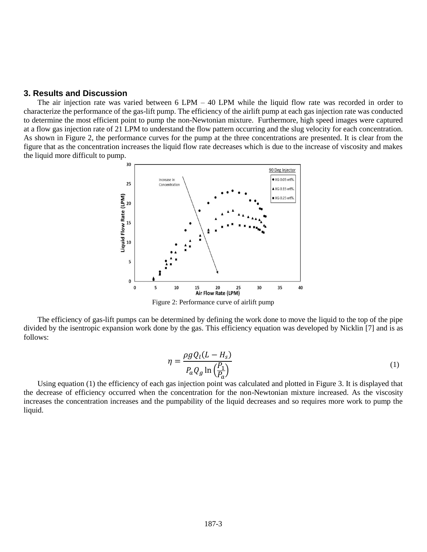#### **3. Results and Discussion**

The air injection rate was varied between 6 LPM – 40 LPM while the liquid flow rate was recorded in order to characterize the performance of the gas-lift pump. The efficiency of the airlift pump at each gas injection rate was conducted to determine the most efficient point to pump the non-Newtonian mixture. Furthermore, high speed images were captured at a flow gas injection rate of 21 LPM to understand the flow pattern occurring and the slug velocity for each concentration. As shown in Figure 2, the performance curves for the pump at the three concentrations are presented. It is clear from the figure that as the concentration increases the liquid flow rate decreases which is due to the increase of viscosity and makes the liquid more difficult to pump.



Figure 2: Performance curve of airlift pump

The efficiency of gas-lift pumps can be determined by defining the work done to move the liquid to the top of the pipe divided by the isentropic expansion work done by the gas. This efficiency equation was developed by Nicklin [7] and is as follows:

$$
\eta = \frac{\rho g Q_l (L - H_s)}{P_a Q_g \ln\left(\frac{P_1}{P_a}\right)}\tag{1}
$$

Using equation (1) the efficiency of each gas injection point was calculated and plotted in Figure 3. It is displayed that the decrease of efficiency occurred when the concentration for the non-Newtonian mixture increased. As the viscosity increases the concentration increases and the pumpability of the liquid decreases and so requires more work to pump the liquid.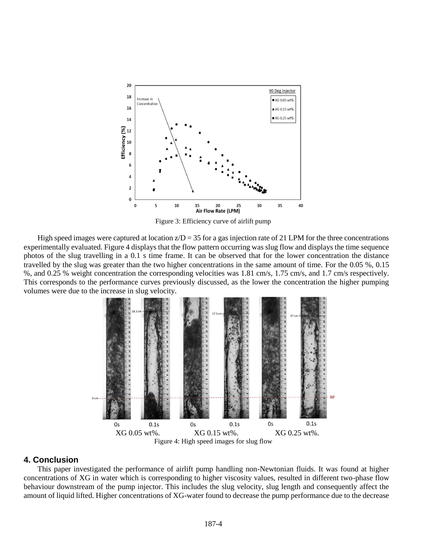

Figure 3: Efficiency curve of airlift pump

High speed images were captured at location  $z/D = 35$  for a gas injection rate of 21 LPM for the three concentrations experimentally evaluated. Figure 4 displays that the flow pattern occurring was slug flow and displays the time sequence photos of the slug travelling in a 0.1 s time frame. It can be observed that for the lower concentration the distance travelled by the slug was greater than the two higher concentrations in the same amount of time. For the 0.05 %, 0.15 %, and 0.25 % weight concentration the corresponding velocities was 1.81 cm/s, 1.75 cm/s, and 1.7 cm/s respectively. This corresponds to the performance curves previously discussed, as the lower the concentration the higher pumping volumes were due to the increase in slug velocity.



## **4. Conclusion**

This paper investigated the performance of airlift pump handling non-Newtonian fluids. It was found at higher concentrations of XG in water which is corresponding to higher viscosity values, resulted in different two-phase flow behaviour downstream of the pump injector. This includes the slug velocity, slug length and consequently affect the amount of liquid lifted. Higher concentrations of XG-water found to decrease the pump performance due to the decrease